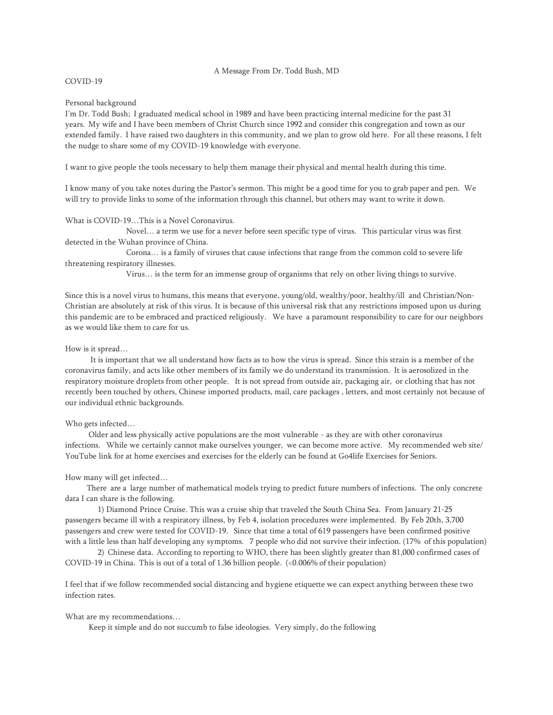#### A Message From Dr. Todd Bush, MD

## COVID-19

### Personal background

I'm Dr. Todd Bush; I graduated medical school in 1989 and have been practicing internal medicine for the past 31 years. My wife and I have been members of Christ Church since 1992 and consider this congregation and town as our extended family. I have raised two daughters in this community, and we plan to grow old here. For all these reasons, I felt the nudge to share some of my COVID-19 knowledge with everyone.

I want to give people the tools necessary to help them manage their physical and mental health during this time.

I know many of you take notes during the Pastor's sermon. This might be a good time for you to grab paper and pen. We will try to provide links to some of the information through this channel, but others may want to write it down.

# What is COVID-19…This is a Novel Coronavirus.

Novel… a term we use for a never before seen specific type of virus. This particular virus was first detected in the Wuhan province of China.

Corona… is a family of viruses that cause infections that range from the common cold to severe life threatening respiratory illnesses.

Virus… is the term for an immense group of organisms that rely on other living things to survive.

Since this is a novel virus to humans, this means that everyone, young/old, wealthy/poor, healthy/ill and Christian/Non-Christian are absolutely at risk of this virus. It is because of this universal risk that any restrictions imposed upon us during this pandemic are to be embraced and practiced religiously. We have a paramount responsibility to care for our neighbors as we would like them to care for us.

### How is it spread…

It is important that we all understand how facts as to how the virus is spread. Since this strain is a member of the coronavirus family, and acts like other members of its family we do understand its transmission. It is aerosolized in the respiratory moisture droplets from other people. It is not spread from outside air, packaging air, or clothing that has not recently been touched by others, Chinese imported products, mail, care packages , letters, and most certainly not because of our individual ethnic backgrounds.

#### Who gets infected…

 Older and less physically active populations are the most vulnerable - as they are with other coronavirus infections. While we certainly cannot make ourselves younger, we can become more active. My recommended web site/ YouTube link for at home exercises and exercises for the elderly can be found at Go4life Exercises for Seniors.

# How many will get infected…

There are a large number of mathematical models trying to predict future numbers of infections. The only concrete data I can share is the following.

1) Diamond Prince Cruise. This was a cruise ship that traveled the South China Sea. From January 21-25 passengers became ill with a respiratory illness, by Feb 4, isolation procedures were implemented. By Feb 20th, 3,700 passengers and crew were tested for COVID-19. Since that time a total of 619 passengers have been confirmed positive with a little less than half developing any symptoms. 7 people who did not survive their infection. (17% of this population)

2) Chinese data. According to reporting to WHO, there has been slightly greater than 81,000 confirmed cases of COVID-19 in China. This is out of a total of 1.36 billion people. (<0.006% of their population)

I feel that if we follow recommended social distancing and hygiene etiquette we can expect anything between these two infection rates.

## What are my recommendations…

Keep it simple and do not succumb to false ideologies. Very simply, do the following